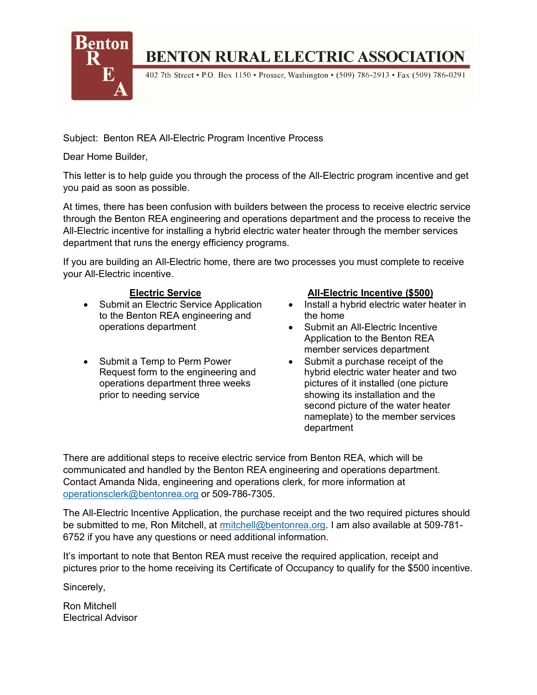

# **BENTON RURAL ELECTRIC ASSOCIATION**

402 7th Street • P.O. Box 1150 • Prosser, Washington • (509) 786-2913 • Fax (509) 786-0291

Subject: Benton REA All-Electric Program Incentive Process

Dear Home Builder,

This letter is to help guide you through the process of the All-Electric program incentive and get you paid as soon as possible.

At times, there has been confusion with builders between the process to receive electric service through the Benton REA engineering and operations department and the process to receive the All-Electric incentive for installing a hybrid electric water heater through the member services department that runs the energy efficiency programs.

If you are building an All-Electric home, there are two processes you must complete to receive your All-Electric incentive.

- Submit an Electric Service Application to the Benton REA engineering and operations department
- Submit a Temp to Perm Power Request form to the engineering and operations department three weeks prior to needing service

# **Electric Service All-Electric Incentive (\$500)**

- Install a hybrid electric water heater in the home
- Submit an All-Electric Incentive Application to the Benton REA member services department
- Submit a purchase receipt of the hybrid electric water heater and two pictures of it installed (one picture showing its installation and the second picture of the water heater nameplate) to the member services department

There are additional steps to receive electric service from Benton REA, which will be communicated and handled by the Benton REA engineering and operations department. Contact Amanda Nida, engineering and operations clerk, for more information at [operationsclerk@bentonrea.org](mailto:operationsclerk@bentonrea.org) or 509-786-7305.

The All-Electric Incentive Application, the purchase receipt and the two required pictures should be submitted to me, Ron Mitchell, at [rmitchell@bentonrea.org.](mailto:rmitchell@bentonrea.org) I am also available at 509-781- 6752 if you have any questions or need additional information.

It's important to note that Benton REA must receive the required application, receipt and pictures prior to the home receiving its Certificate of Occupancy to qualify for the \$500 incentive.

Sincerely,

Ron Mitchell Electrical Advisor